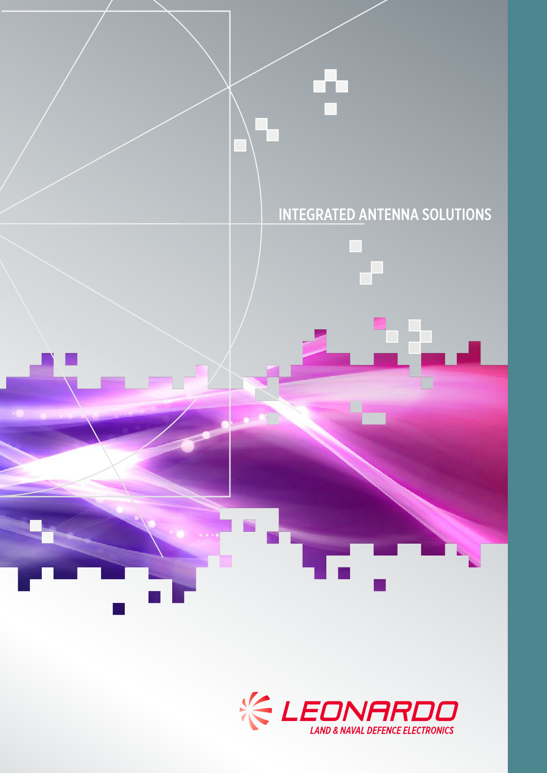

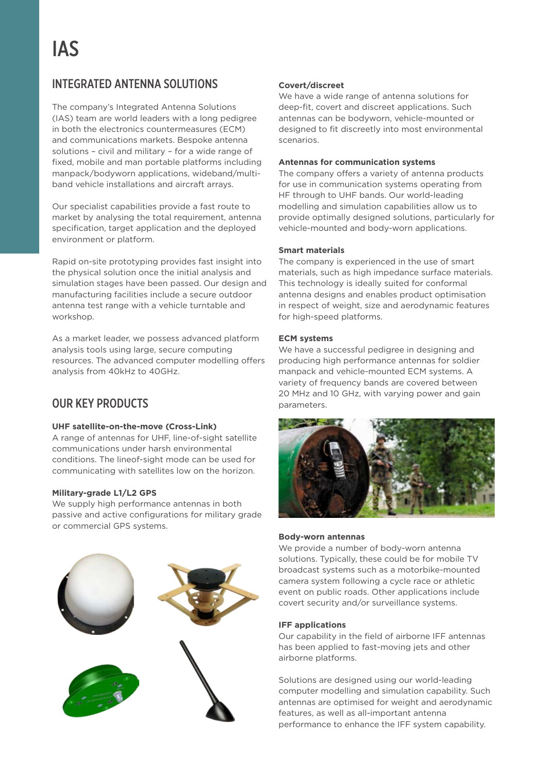# INTEGRATED ANTENNA SOLUTIONS

The company's Integrated Antenna Solutions (IAS) team are world leaders with a long pedigree in both the electronics countermeasures (ECM) and communications markets. Bespoke antenna solutions – civil and military – for a wide range of fixed, mobile and man portable platforms including manpack/bodyworn applications, wideband/multiband vehicle installations and aircraft arrays.

Our specialist capabilities provide a fast route to market by analysing the total requirement, antenna specification, target application and the deployed environment or platform.

Rapid on-site prototyping provides fast insight into the physical solution once the initial analysis and simulation stages have been passed. Our design and manufacturing facilities include a secure outdoor antenna test range with a vehicle turntable and workshop.

As a market leader, we possess advanced platform analysis tools using large, secure computing resources. The advanced computer modelling offers analysis from 40kHz to 40GHz.

# OUR KEY PRODUCTS

## **UHF satellite-on-the-move (Cross-Link)**

A range of antennas for UHF, line-of-sight satellite communications under harsh environmental conditions. The lineof-sight mode can be used for communicating with satellites low on the horizon.

#### **Military-grade L1/L2 GPS**

We supply high performance antennas in both passive and active configurations for military grade or commercial GPS systems.



## **Covert/discreet**

We have a wide range of antenna solutions for deep-fit, covert and discreet applications. Such antennas can be bodyworn, vehicle-mounted or designed to fit discreetly into most environmental scenarios.

### **Antennas for communication systems**

The company offers a variety of antenna products for use in communication systems operating from HF through to UHF bands. Our world-leading modelling and simulation capabilities allow us to provide optimally designed solutions, particularly for vehicle-mounted and body-worn applications.

#### **Smart materials**

The company is experienced in the use of smart materials, such as high impedance surface materials. This technology is ideally suited for conformal antenna designs and enables product optimisation in respect of weight, size and aerodynamic features for high-speed platforms.

## **ECM systems**

We have a successful pedigree in designing and producing high performance antennas for soldier manpack and vehicle-mounted ECM systems. A variety of frequency bands are covered between 20 MHz and 10 GHz, with varying power and gain parameters.



#### **Body-worn antennas**

We provide a number of body-worn antenna solutions. Typically, these could be for mobile TV broadcast systems such as a motorbike-mounted camera system following a cycle race or athletic event on public roads. Other applications include covert security and/or surveillance systems.

#### **IFF applications**

Our capability in the field of airborne IFF antennas has been applied to fast-moving jets and other airborne platforms.

Solutions are designed using our world-leading computer modelling and simulation capability. Such antennas are optimised for weight and aerodynamic features, as well as all-important antenna performance to enhance the IFF system capability.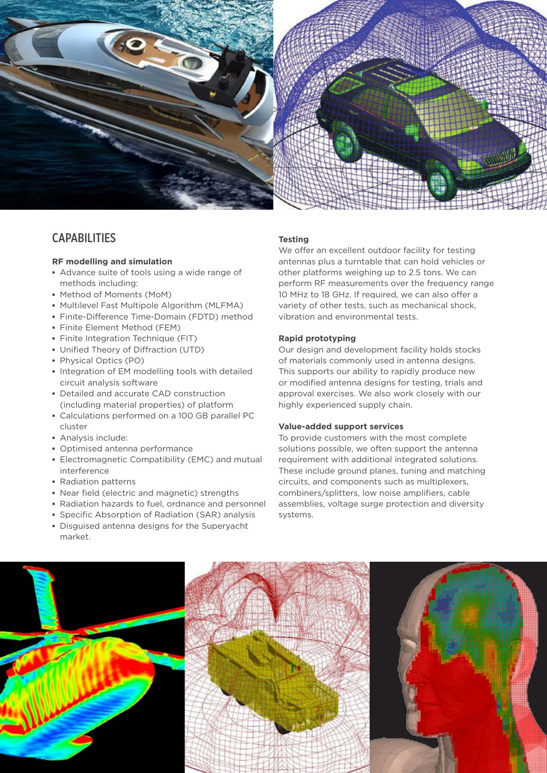

# **CAPABILITIES**

### **RF modelling and simulation**

- **▪** Advance suite of tools using a wide range of methods including:
- **▪** Method of Moments (MoM)
- **▪** Multilevel Fast Multipole Algorithm (MLFMA)
- **▪** Finite-Difference Time-Domain (FDTD) method
- **▪** Finite Element Method (FEM)
- **▪** Finite Integration Technique (FIT)
- **▪** Unified Theory of Diffraction (UTD)
- **▪** Physical Optics (PO)
- **▪** Integration of EM modelling tools with detailed circuit analysis software
- **▪** Detailed and accurate CAD construction (including material properties) of platform
- **▪** Calculations performed on a 100 GB parallel PC cluster
- **▪** Analysis include:
- **▪** Optimised antenna performance
- **▪** Electromagnetic Compatibility (EMC) and mutual interference
- **▪** Radiation patterns
- **▪** Near field (electric and magnetic) strengths
- **▪** Radiation hazards to fuel, ordnance and personnel
- **▪** Specific Absorption of Radiation (SAR) analysis
- **▪** Disguised antenna designs for the Superyacht market.

#### **Testing**

We offer an excellent outdoor facility for testing antennas plus a turntable that can hold vehicles or other platforms weighing up to 2.5 tons. We can perform RF measurements over the frequency range 10 MHz to 18 GHz. If required, we can also offer a variety of other tests, such as mechanical shock, vibration and environmental tests.

#### **Rapid prototyping**

Our design and development facility holds stocks of materials commonly used in antenna designs. This supports our ability to rapidly produce new or modified antenna designs for testing, trials and approval exercises. We also work closely with our highly experienced supply chain.

#### **Value-added support services**

To provide customers with the most complete solutions possible, we often support the antenna requirement with additional integrated solutions. These include ground planes, tuning and matching circuits, and components such as multiplexers, combiners/splitters, low noise amplifiers, cable assemblies, voltage surge protection and diversity systems.